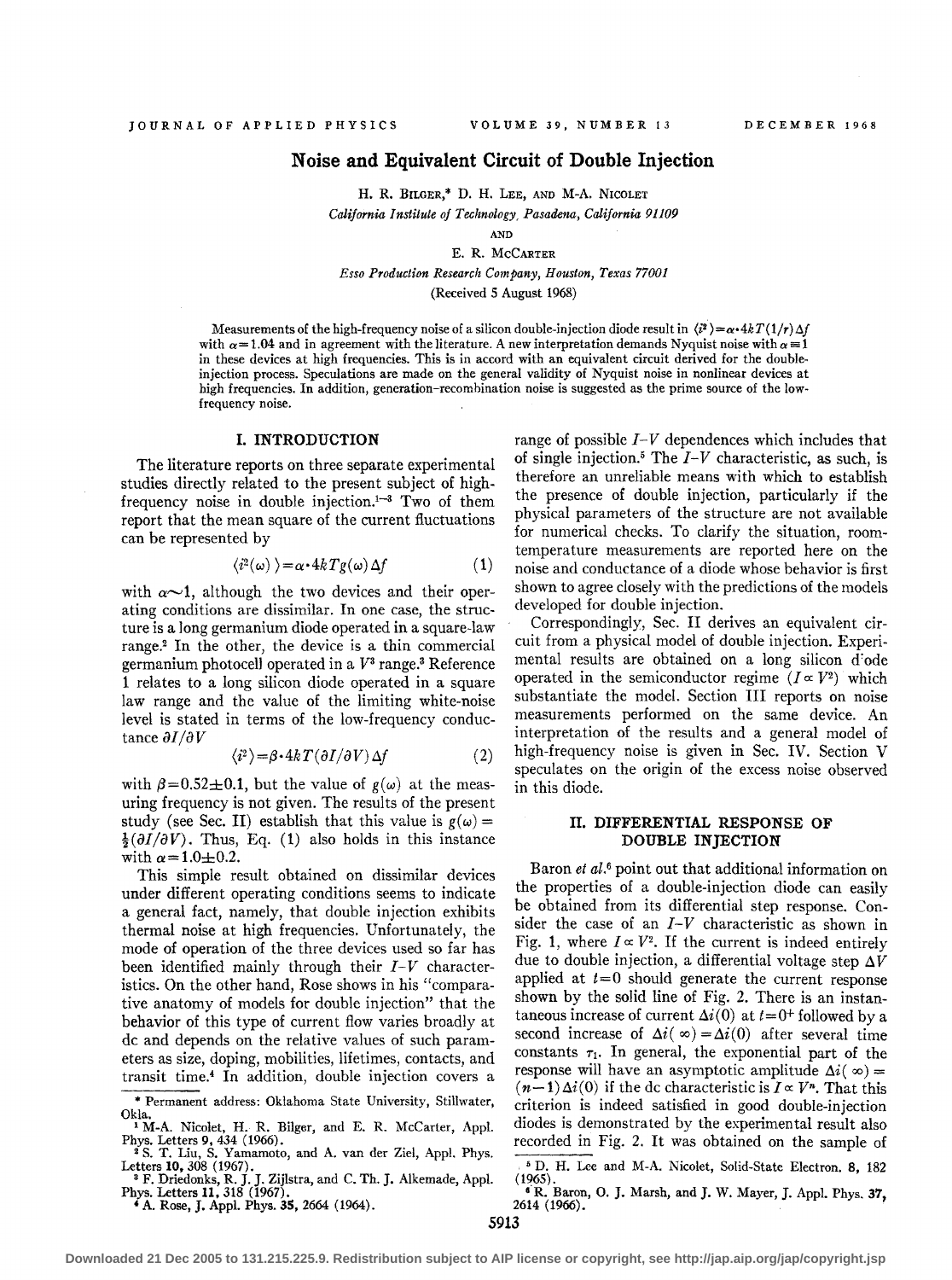## **Noise and Equivalent Circuit of Double Injection**

H. R. BUGER,\* D. H. LEE, AND M-A. NICOLET *California Institute of Technology, Pasadena, California 91109* 

AND E. R. McCARTER

*Esso Production Research Company, Houston, Texas 77001*  (Received 5 August 1968)

Measurements of the high-frequency noise of a silicon double-injection diode result in  $\langle i^2 \rangle = \alpha \cdot 4kT (1/r) \Delta f$ with  $\alpha = 1.04$  and in agreement with the literature. A new interpretation demands Nyquist noise with  $\alpha = 1$ in these devices at high frequencies. This is in accord with an equivalent circuit derived for the doubleinjection process. Speculations are made on the general validity of Nyquist noise in nonlinear devices at high frequencies. In addition, generation-recombination noise is suggested as the prime source of the lowfrequency noise. .

#### **I. INTRODUCTION**

The literature reports on three separate experimental studies directly related to the present subject of highfrequency noise in double injection. $1-3$  Two of them report that the mean square of the current fluctuations can be represented by

$$
\langle i^2(\omega) \rangle = \alpha \cdot 4k \, Tg(\omega) \, \Delta f \tag{1}
$$

with  $\alpha$ -1, although the two devices and their operating conditions are dissimilar. In one case, the structure is a long germanium diode operated in a square-law range.2 In the other, the device is a thin commercial germanium photocell operated in a  $V^3$  range.<sup>3</sup> Reference 1 relates to a long silicon diode operated in a square law range and the value of the limiting white-noise level is stated in terms of the low-frequency conductance  $\partial I/\partial V$ 

$$
\langle i^2 \rangle = \beta \cdot 4k \, T(\partial I/\partial V) \, \Delta f \tag{2}
$$

with  $\beta=0.52\pm0.1$ , but the value of  $g(\omega)$  at the measuring frequency is not given. The results of the present study (see Sec. II) establish that this value is  $g(\omega) =$  $\frac{1}{2}(\partial I/\partial V)$ . Thus, Eq. (1) also holds in this instance with  $\alpha = 1.0 \pm 0.2$ .

This simple result obtained on dissimilar devices under different operating conditions seems to indicate a general fact, namely, that double injection exhibits thermal noise at high frequencies. Unfortunately, the mode of operation of the three devices used so far has been identified mainly through their  $I-V$  characteristics. On the other hand, Rose shows in his "comparative anatomy of models for double injection" that the behavior of this type of current flow varies broadly at de and depends on the relative values of such parameters as size, doping, mobilities, lifetimes, contacts, and transit time.4 In addition, double injection covers a

<sup>4</sup>A. Rose, J. Appl. Phys. **35,** 2664 (1964).

range of possible *I-V* dependences which includes that of single injection.<sup>5</sup> The  $I-V$  characteristic, as such, is therefore an unreliable means with which to establish the presence of double injection, particularly if the physical parameters of the structure are not available for numerical checks. To clarify the situation, roomtemperature measurements are reported here on the noise and conductance of a diode whose behavior is first shown to agree closely with the predictions of the models developed for double injection.

Correspondingly, Sec. II derives an equivalent circuit from a physical model of double injection. Experimental results are obtained on a long silicon d'ode operated in the semiconductor regime  $(I \propto V^2)$  which substantiate the model. Section III reports on noise measurements performed on the same device. An interpretation of the results and a general model of high-frequency noise is given in Sec. IV. Section V speculates on the origin of the excess noise observed in this diode.

#### **II. DIFFERENTIAL RESPONSE OF DOUBLE INJECTION**

Baron et al.<sup>6</sup> point out that additional information on the properties of a double-injection diode can easily be obtained from its differential step response. Consider the case of an *I-V* characteristic as shown in Fig. 1, where  $I \propto V^2$ . If the current is indeed entirely due to double injection, a differential voltage step  $\Delta V$ applied at *t=O* should generate the current response shown by the solid line of Fig. 2. There is an instantaneous increase of current  $\Delta i(0)$  at  $t=0^+$  followed by a second increase of  $\Delta i(\infty) = \Delta i(0)$  after several time constants  $\tau_1$ . In general, the exponential part of the response will have an asymptotic amplitude  $\Delta i(\infty) = (n-1)\Delta i(0)$  if the dc characteristic is  $I \propto V^n$ . That this criterion is indeed satisfied in good double-injection diodes is demonstrated by the experimental result also recorded in Fig. 2. It was obtained on the sample of

<sup>\*</sup> Permanent address: Oklahoma State University, Stillwater, Okla. 1 M-A. Nicolet, H. R. Bilger, and E. R. McCarter, Appl.

Phys. Letters 9, 434 (1966). <sup>2</sup> S. T. Liu, S. Yamamoto, and A. van der Ziel, Appl. Phys.

Letters 10, 308 (1967).<br><sup>3</sup> F. Driedonks, R. J. J. Zijlstra, and C. Th. J. Alkemade, Appl. Phys. Letters 11, 318 (1967).

<sup>&</sup>lt;sup>5</sup> D. H. Lee and M-A. Nicolet, Solid-State Electron. 8, 182  $(1965)$ .

 $^{\circ}$  <sup>6</sup> R. Baron, O. J. Marsh, and J. W. Mayer, J. Appl. Phys. 37, 2614 (1966).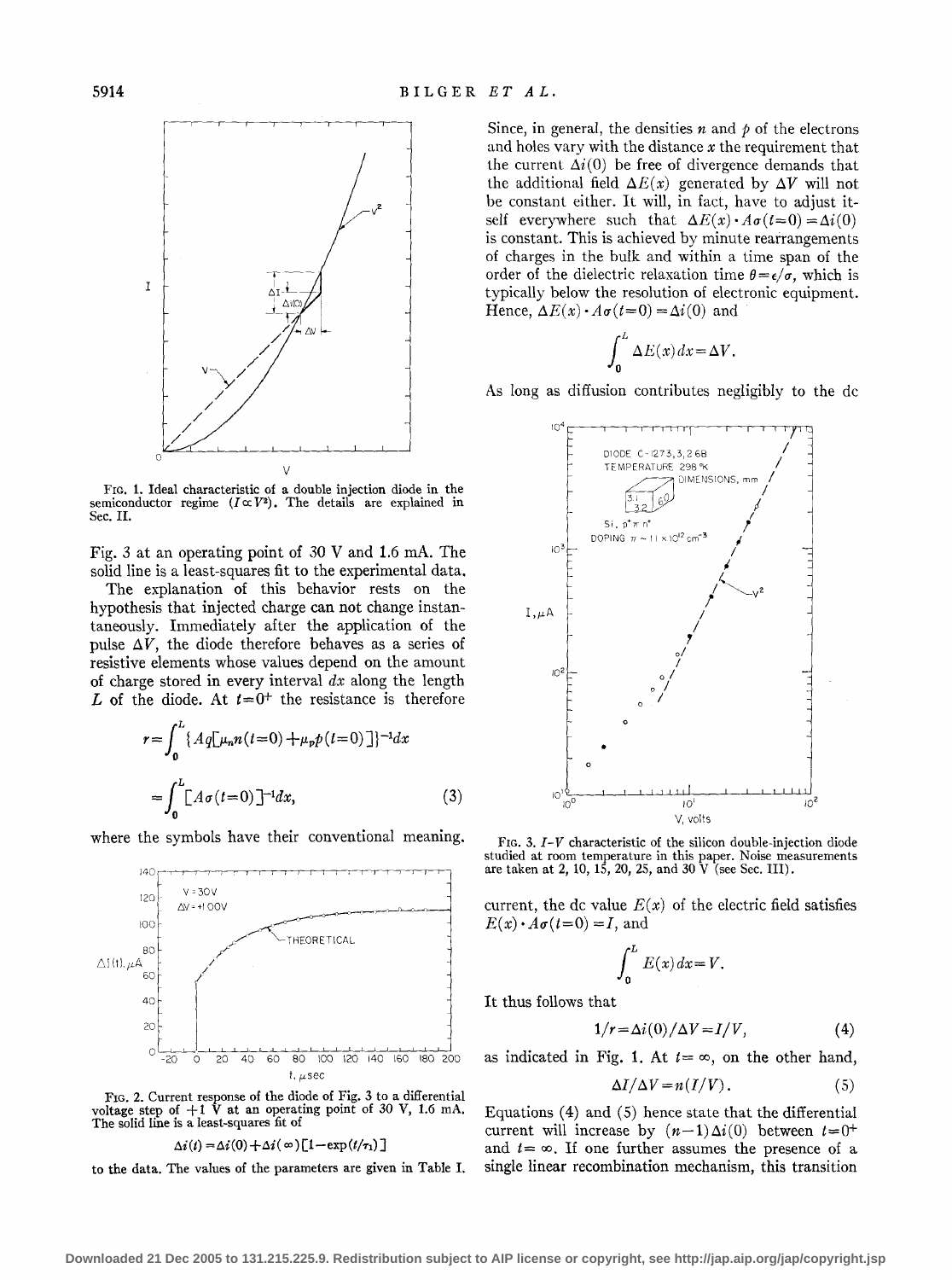

FIG. 1. Ideal characteristic of a double injection diode in the semiconductor regime  $(I \propto V^2)$ . The details are explained in Sec. II.

Fig. 3 at an operating point of  $30$  V and 1.6 mA. The solid line is a least-squares fit to the experimental data.

The explanation of this behavior rests on the hypothesis that injected charge can not change instantaneously. Immediately after the application of the pulse  $\Delta V$ , the diode therefore behaves as a series of resistive elements whose values depend on the amount of charge stored in every interval *dx* along the length *L* of the diode. At  $t=0^+$  the resistance is therefore

$$
r = \int_0^L \{ A q [\mu_n n(t=0) + \mu_p p(t=0)] \}^{-1} dx
$$
  
= 
$$
\int_0^L [A \sigma(t=0)]^{-1} dx,
$$
 (3)

where the symbols have their conventional meaning. FIG. 3. *I-V* characteristic of the silicon double-injection diode



FIG. 2. Current response of the diode of Fig. 3 to a differential voltage step of  $+1$  V at an operating point of 30 V, 1.6 mA. The solid line is a least-squares fit of

$$
\Delta i(t) = \Delta i(0) + \Delta i(\infty) [1 - \exp(t/\tau_1)]
$$

to the data. The values of the parameters are given in Table I.

Since, in general, the densities  $n$  and  $p$  of the electrons and holes vary with the distance *x* the requirement that the current  $\Delta i(0)$  be free of divergence demands that the additional field  $\Delta E(x)$  generated by  $\Delta V$  will not be constant either. It will, in fact, have to adjust itself everywhere such that  $\Delta E(x) \cdot A\sigma(t=0) = \Delta i(0)$ is constant. This is achieved by minute rearrangements of charges in the bulk and within a time span of the order of the dielectric relaxation time  $\theta = \epsilon/\sigma$ , which is typically below the resolution of electronic equipment. Hence,  $\Delta E(x) \cdot A\sigma(t=0) = \Delta i(0)$  and

$$
\int_0^L \Delta E(x) \, dx = \Delta V.
$$

As long as diffusion contributes negligibly to the de



studied at room temperature in this paper. Noise measurements<br>140  $\leftarrow$  140  $\leftarrow$  140  $\leftarrow$  140  $\leftarrow$  140, 15, 20, 25, and 30 V (see Sec. III).

current, the dc value  $E(x)$  of the electric field satisfies  $E(x) \cdot A\sigma(t=0) = I$ , and

$$
\int_0^L E(x) \, dx = V.
$$

It thus follows that

$$
1/r = \Delta i(0) / \Delta V = I/V, \tag{4}
$$

$$
\Delta I/\Delta V = n(I/V). \tag{5}
$$

Equations  $(4)$  and  $(5)$  hence state that the differential current will increase by  $(n-1)\Delta i(0)$  between  $t=0^+$ and  $t = \infty$ . If one further assumes the presence of a single linear recombination mechanism, this transition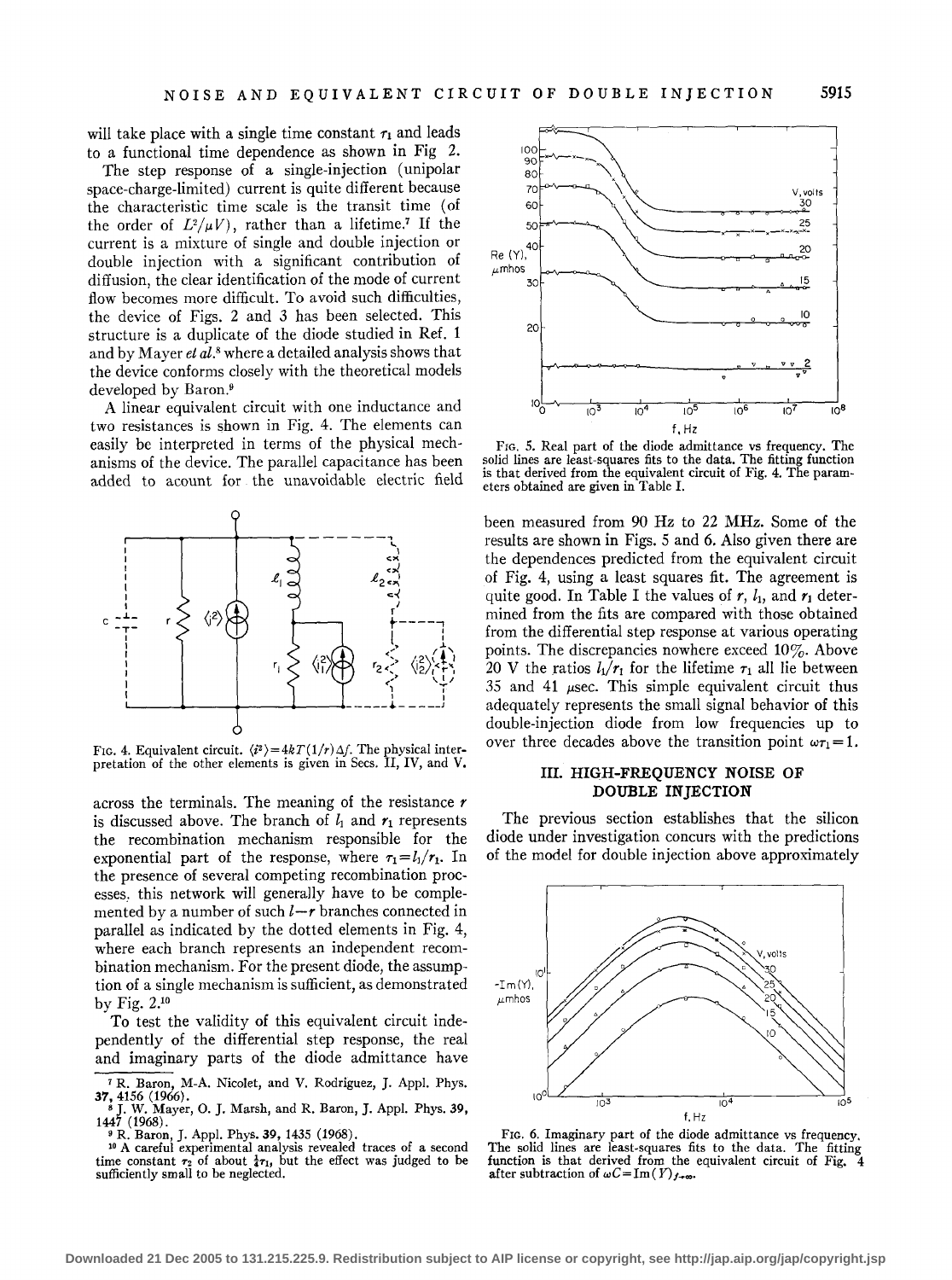will take place with a single time constant  $\tau_1$  and leads to a functional time dependence as shown in Fig 2.

The step response of a single-injection (unipolar space-charge-limited) current is quite different because the characteristic time scale is the transit time (of the order of  $L^2/\mu V$ , rather than a lifetime.<sup>7</sup> If the current is a mixture of single and double injection or double injection with a significant contribution of diffusion, the clear identification of the mode of current flow becomes more difficult. To avoid such difficulties, the device of Figs. 2 and 3 has been selected. This structure is a duplicate of the diode studied in Ref. 1 and by Mayer *et al.*8 where a detailed analysis shows that the device conforms closely with the theoretical models developed by Baron.9

A linear equivalent circuit with one inductance and two resistances is shown in Fig. 4. The elements can easily be interpreted in terms of the physical mechanisms of the device. The parallel capacitance has been added to acount for the unavoidable electric field



FIG. 4. Equivalent circuit.  $\langle i^2 \rangle = 4kT(1/r)\Delta f$ . The physical interpretation of the other elements is given in Secs. II, IV, and V.

across the terminals. The meaning of the resistance  $r$ is discussed above. The branch of  $l_1$  and  $r_1$  represents the recombination mechanism responsible for the exponential part of the response, where  $\tau_1 = l_1/r_1$ . In the presence of several competing recombination processes. this network will generally have to be complemented by a number of such  $l-r$  branches connected in parallel as indicated by the dotted elements in Fig. 4, where each branch represents an independent recombination mechanism. For the present diode, the assumption of a single mechanism is sufficient, as demonstrated by Fig. 2.10

To test the validity of this equivalent circuit independently of the differential step response, the real and imaginary parts of the diode admittance have



FIG. 5. Real part of the diode admittance vs frequency. The solid lines are least-squares fits to the data. The fitting function is that derived from the equivalent circuit of Fig. 4. The parameters obtained are given in Table I.

been measured from 90 Hz to 22 MHz. Some of the results are shown in Figs. 5 and 6. Also given there are the dependences predicted from the equivalent circuit of Fig. 4, using a least squares fit. The agreement is quite good. In Table I the values of  $r$ ,  $l_1$ , and  $r_1$  determined from the fits are compared with those obtained from the differential step response at various operating points. The discrepancies nowhere exceed  $10\%$ . Above 20 V the ratios  $l_1/r_1$  for the lifetime  $r_1$  all lie between 35 and 41  $\mu$ sec. This simple equivalent circuit thus adequately represents the small signal behavior of this double-injection diode from low frequencies up to over three decades above the transition point  $\omega \tau_1 = 1$ .

## III. HIGH-FREQUENCY NOISE OF DOUBLE INJECTION

The previous section establishes that the silicon diode under investigation concurs with the predictions of the model for double injection above approximately



FIG. 6. Imaginary part of the diode admittance vs frequency. The solid lines are least-squares fits to the data. The fitting function is that derived from the equivalent circuit of Fig. 4 after subtraction of  $\omega C = \text{Im}(Y)_{f \to \infty}$ .

<sup>7</sup> R. Baron, M-A. Nicolet, and V. Rodriguez, J. Appl. Phys.

<sup>37, 4156 (1966).&</sup>lt;br>
<sup>8</sup> J. W. Mayer, O. J. Marsh, and R. Baron, J. Appl. Phys. 39, 1447 (1968).

<sup>&</sup>lt;sup>9</sup> R. Baron, J. Appl. Phys. 39, 1435 (1968). <sup>10</sup> A careful experimental analysis revealed traces of a second time constant  $\tau_2$  of about  $\frac{1}{4}\tau_1$ , but the effect was judged to be sufficiently small to be neglected.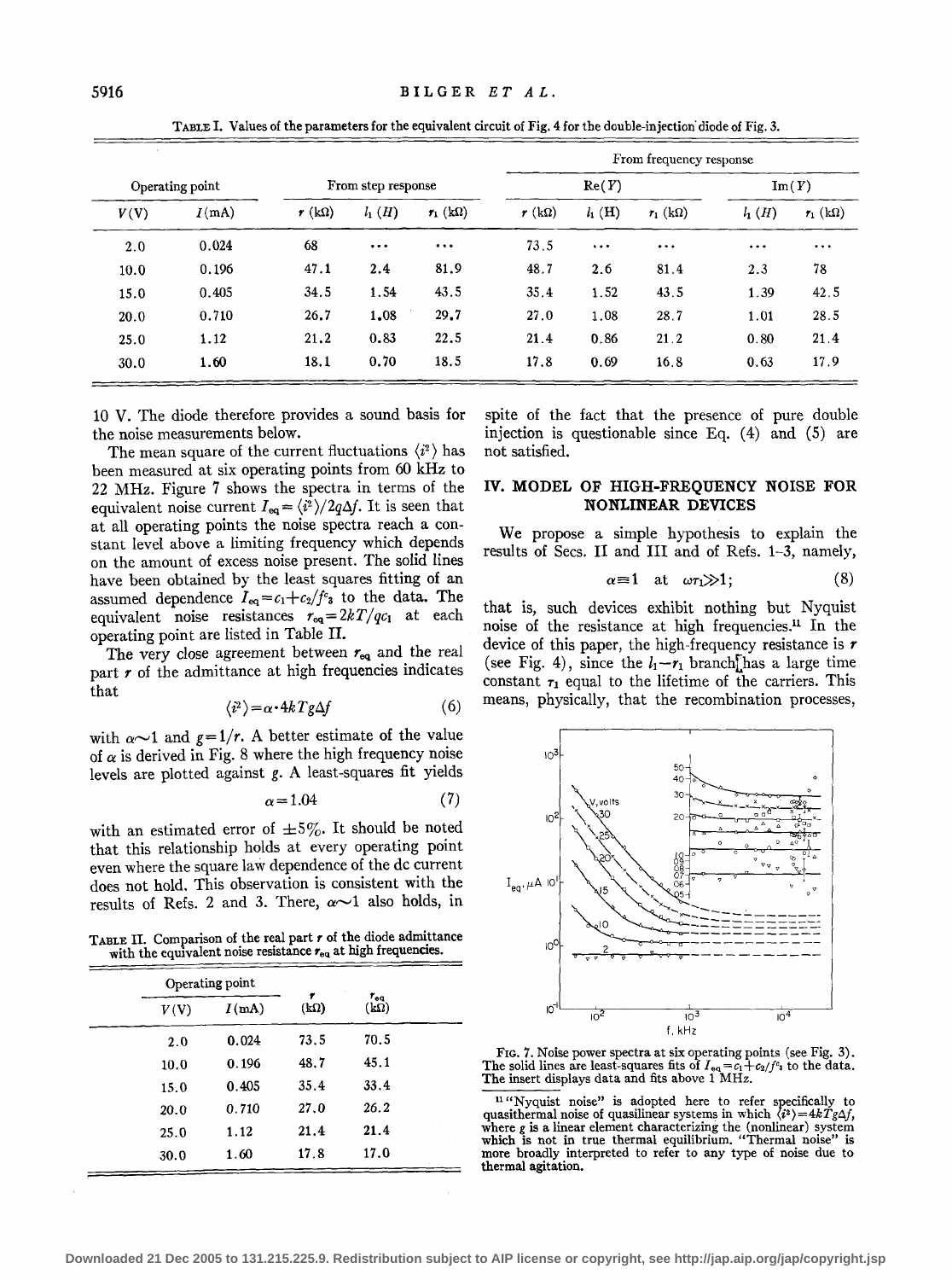|                 |       |                    |          |            | From frequency response |           |            |                |                |
|-----------------|-------|--------------------|----------|------------|-------------------------|-----------|------------|----------------|----------------|
| Operating point |       | From step response |          |            | Re(Y)                   |           |            | $\text{Im}(Y)$ |                |
| V(V)            | I(mA) | $r(k\Omega)$       | $l_1(H)$ | $r_1$ (kΩ) | $r(k\Omega)$            | $l_1$ (H) | $r_1$ (kΩ) | $l_1(H)$       | $r_1(k\Omega)$ |
| 2.0             | 0.024 | 68                 | $\cdots$ | $\cdots$   | 73.5                    | $\cdots$  | $\cdots$   | $\cdots$       | $\cdots$       |
| 10.0            | 0.196 | 47.1               | 2.4      | 81.9       | 48.7                    | 2.6       | 81.4       | 2.3            | 78             |
| 15.0            | 0.405 | 34.5               | 1.54     | 43.5       | 35.4                    | 1.52      | 43.5       | 1.39           | 42.5           |
| 20.0            | 0.710 | 26.7               | 1,08     | 29.7       | 27.0                    | 1.08      | 28.7       | 1.01           | 28.5           |
| 25.0            | 1.12  | 21.2               | 0.83     | 22.5       | 21.4                    | 0.86      | 21.2       | 0.80           | 21.4           |
| 30.0            | 1.60  | 18.1               | 0.70     | 18.5       | 17.8                    | 0.69      | 16.8       | 0.63           | 17.9           |

TABLE I. Values of the parameters for the equivalent circuit of Fig. 4 for the double-injection· diode of Fig. 3.

10 V. The diode therefore provides a sound basis for the noise measurements below.

The mean square of the current fluctuations  $\langle i^2 \rangle$  has been measured at six operating points from 60 kHz to 22 MHz. Figure 7 shows the spectra in terms of the equivalent noise current  $I_{eq} = \langle i^2 \rangle / 2q\Delta f$ . It is seen that at all operating points the noise spectra reach a constant level above a limiting frequency which depends on the amount of excess noise present. The solid lines have been obtained by the least squares fitting of an assumed dependence  $I_{eq} = c_1 + c_2/f_c$  to the data. The equivalent noise resistances  $r_{eq}=2kT/qc_1$  at each operating point are listed in Table II.

The very close agreement between *req* and the real part  $r$  of the admittance at high frequencies indicates that

$$
\langle i^2 \rangle = \alpha \cdot 4k \, Tg \Delta f \tag{6}
$$

with  $\alpha$  $\sim$ 1 and  $g=1/r$ . A better estimate of the value of  $\alpha$  is derived in Fig. 8 where the high frequency noise levels are plotted against g. A least-squares fit yields

$$
\alpha = 1.04\tag{7}
$$

with an estimated error of  $\pm 5\%$ . It should be noted that this relationship holds at every operating point even where the square law dependence of the de current does not hold. This observation is consistent with the results of Refs. 2 and 3. There,  $\alpha \sim 1$  also holds, in

TABLE II. Comparison of the real part *r* of the diode admittance with the equivalent noise resistance  $r_{\rm eq}$  at high frequencies.

|      | Operating point |                  |                             |  |
|------|-----------------|------------------|-----------------------------|--|
| V(V) | I(mA)           | ,<br>$(k\Omega)$ | $r_{\rm eq}$<br>$(k\Omega)$ |  |
| 2.0  | 0.024           | 73.5             | 70.5                        |  |
| 10.0 | 0.196           | 48.7             | 45.1                        |  |
| 15.0 | 0.405           | 35.4             | 33.4                        |  |
| 20.0 | 0.710           | 27.0             | 26.2                        |  |
| 25.0 | 1.12            | 21.4             | 21.4                        |  |
| 30.0 | 1.60            | 17.8             | 17.0                        |  |

spite of the fact that the presence of pure double injection is questionable since Eq.  $(4)$  and  $(5)$  are not satisfied.

## IV. MODEL OF HIGH-FREQUENCY NOISE FOR NONLINEAR DEVICES

We propose a simple hypothesis to explain the results of Sees. II and III and of Refs. 1-3, namely,

$$
\alpha \equiv 1 \quad \text{at} \quad \omega \tau_1 \gg 1; \tag{8}
$$

that is, such devices exhibit nothing but Nyquist noise of the resistance at high frequencies. 11 In the device of this paper, the high-frequency resistance is *r*  (see Fig. 4), since the  $l_1-r_1$  branch[has a large time constant  $\tau_1$  equal to the lifetime of the carriers. This means, physically, that the recombination processes,



FIG. 7. Noise power spectra at six operating points (see Fig. 3). The solid lines are least-squares fits of  $I_{eq} = c_1 + c_2/f^e$  to the data. The insert displays data and fits above 1 MHz.

<sup>11</sup> "Nyquist noise" is adopted here to refer specifically to quasithermal noise of quasilinear systems in which  $\langle i^2 \rangle = 4kTg\Delta f$ , where *g* is a linear element characterizing the (nonlinear) system<br>which is not in true thermal equilibrium. "Thermal noise" is more broadly interpreted to refer to any type of noise due to thermal agitation.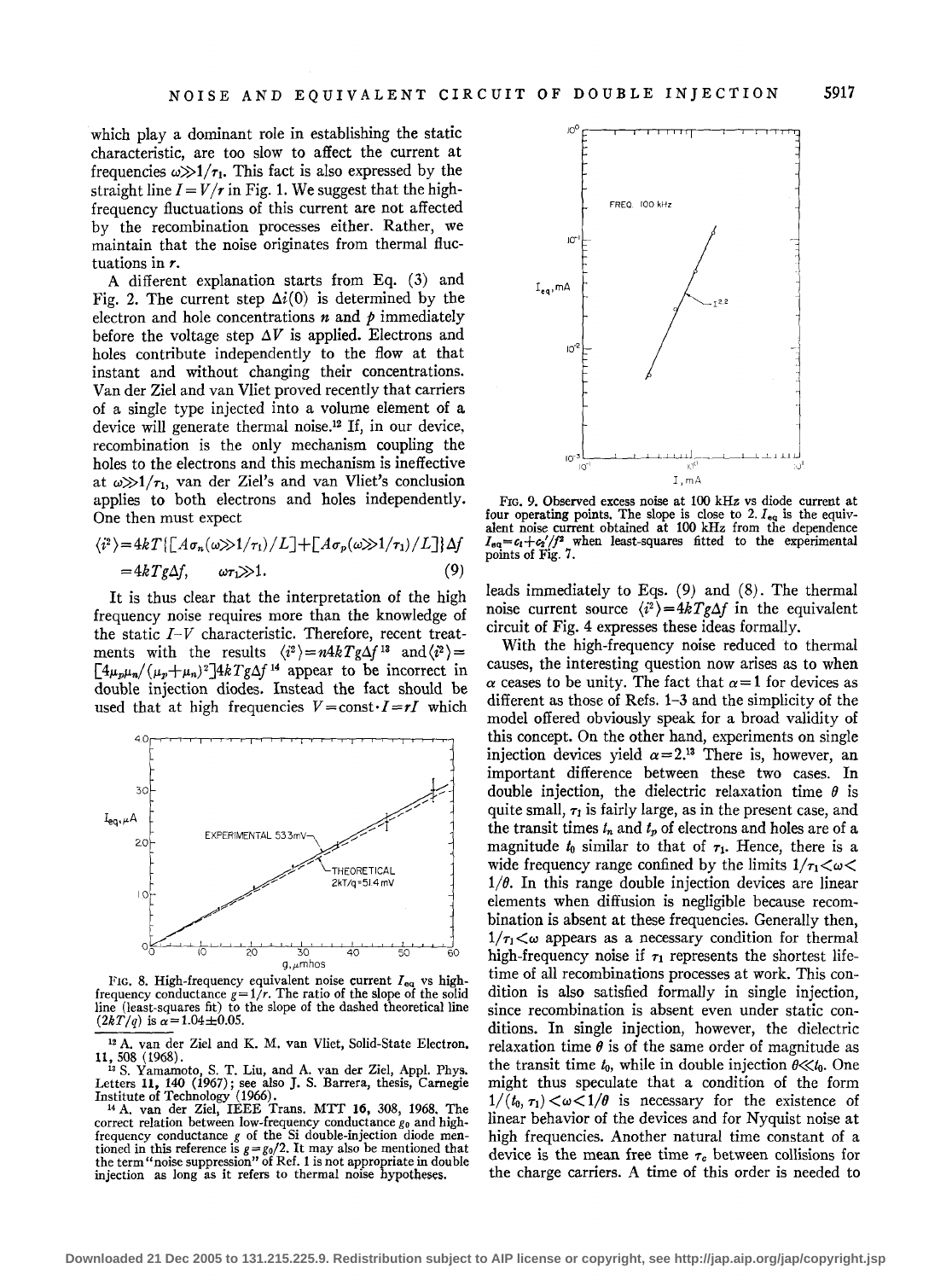which play a dominant role in establishing the static characteristic, are too slow to affect the current at frequencies  $\omega \gg 1/\tau_1$ . This fact is also expressed by the straight line  $I = V/r$  in Fig. 1. We suggest that the highfrequency fluctuations of this current are not affected by the recombination processes either. Rather, we maintain that the noise originates from thermal fluctuations in *r.* 

A different explanation starts from Eq. (3) and Fig. 2. The current step  $\Delta i(0)$  is determined by the electron and hole concentrations  $n$  and  $p$  immediately before the voltage step  $\Delta V$  is applied. Electrons and holes contribute independently to the flow at that instant and without changing their concentrations. Vander Ziel and van Vliet proved recently that carriers of a single type injected into a volume element of a device will generate thermal noise.<sup>12</sup> If, in our device, recombination is the only mechanism coupling the holes to the electrons and this mechanism is ineffective at  $\omega \gg 1/\tau_1$ , van der Ziel's and van Vliet's conclusion applies to both electrons and holes independently. One then must expect

$$
\langle i^2 \rangle = 4kT \{ [A\sigma_n(\omega) > 1/\tau_1) / L ] + [A\sigma_p(\omega) > 1/\tau_1) / L ] \} \Delta f
$$
  
= 4kTg\Delta f, \qquad \omega \tau\_1 \gg 1. (9)

It is thus clear that the interpretation of the high frequency noise requires more than the knowledge of the static *I-V* characteristic. Therefore, recent treatments with the results  $\langle i^2 \rangle = n4kTg\Delta f^{13}$  and  $\langle i^2 \rangle =$  $[4\mu_p\mu_n/(\mu_p+\mu_n)^2]4kTg\Delta f$ <sup>14</sup> appear to be incorrect in double injection diodes. Instead the fact should be used that at high frequencies  $V=const \cdot I=rI$  which



FIG. 8. High-frequency equivalent noise current  $I_{eq}$  vs highfrequency conductance  $g=1/r$ . The ratio of the slope of the solid line (least-squares fit) to the slope of the dashed theoretical line  $(2kT/q)$  is  $\alpha = 1.04 \pm 0.05$ .

 $12$  A. van der Ziel and K. M. van Vliet, Solid-State Electron, 11, 508 (1968).

11,508 (1968). 13 S. Yamamoto, S. T. Liu, and A. van der Ziel, Appl. Phys. Letters **11,** 140 (1967); see also **J.** S. Barrera, thesis, Carnegie

Institute of Technology (1966). 14 A. van der Ziel, IEEE Trans. MTT **16,** 308, 1968. The correct relation between low-frequency conductance  $g_0$  and highfrequency conductance *g* of the Si double-injection diode mentioned in this reference is  $g = g_0/2$ . It may also be mentioned that the term "noise suppression" of Ref. 1 is not appropriate in double injection as long as it refers to thermal noise hypotheses.



FIG. 9. Observed excess noise at 100kHz vs diode current at four operating points. The slope is close to 2.  $I_{eq}$  is the equivalent noise current obtained at 100 kHz from the dependence  $I_{eq}=c_1+c_2'/f^2$  when least-squares fitted to the experimental points of Fig. 7.

leads immediately to Eqs. (9) and (8). The thermal noise current source  $\langle i^2 \rangle = 4kTg\Delta f$  in the equivalent circuit of Fig. 4 expresses these ideas formally.

With the high-frequency noise reduced to thermal causes, the interesting question now arises as to when  $\alpha$  ceases to be unity. The fact that  $\alpha = 1$  for devices as different as those of Refs. 1-3 and the simplicity of the model offered obviously speak for a broad validity of this concept. On the other hand, experiments on single injection devices yield  $\alpha=2^{13}$  There is, however, an important difference between these two cases. In double injection, the dielectric relaxation time *8* is quite small,  $\tau_1$  is fairly large, as in the present case, and the transit times  $t_n$  and  $t_p$  of electrons and holes are of a magnitude  $t_0$  similar to that of  $\tau_1$ . Hence, there is a wide frequency range confined by the limits  $1/\tau_1 < \omega <$  $1/\theta$ . In this range double injection devices are linear elements when diffusion is negligible because recombination is absent at these frequencies. Generally then,  $1/\tau_1 < \omega$  appears as a necessary condition for thermal high-frequency noise if  $\tau_1$  represents the shortest lifetime of all recombinations processes at work. This condition is also satisfied formally in single injection, since recombination is absent even under static conditions. In single injection, however, the dielectric relaxation time  $\theta$  is of the same order of magnitude as the transit time  $t_0$ , while in double injection  $\theta \ll t_0$ . One might thus speculate that a condition of the form  $1/(t_0, \tau_1) < \omega < 1/\theta$  is necessary for the existence of linear behavior of the devices and for Nyquist noise at high frequencies. Another natural time constant of a device is the mean free time  $\tau_c$  between collisions for the charge carriers. A time of this order is needed to